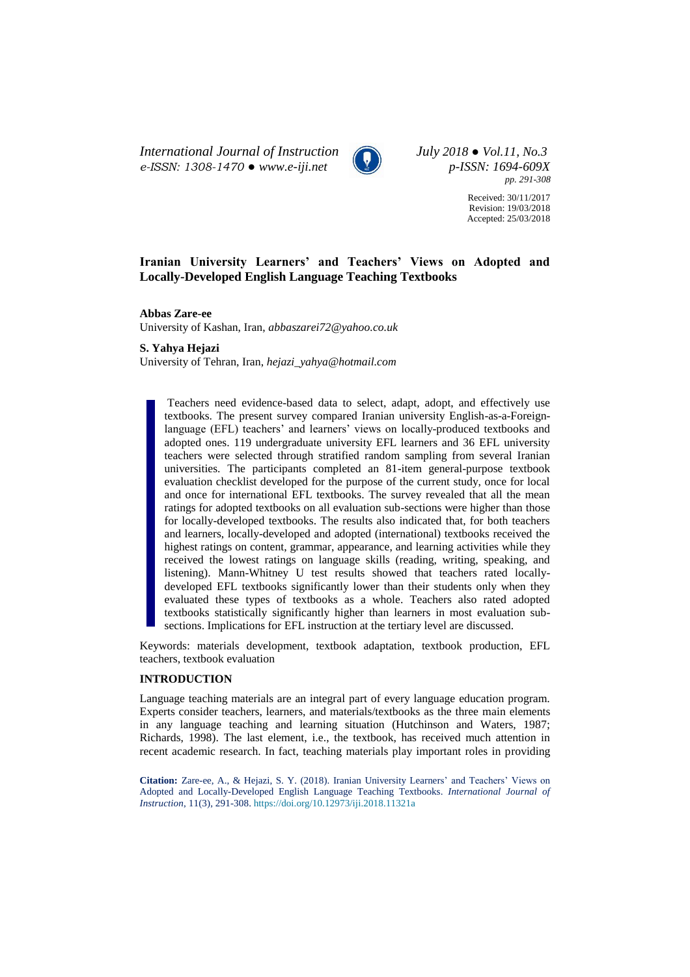*International Journal of Instruction July 2018 ● Vol.11, No.3 e-ISSN: 1308-1470 ● [www.e-iji.net](http://www.e-iji.net/) p-ISSN: 1694-609X*



*pp. 291-308*

Received: 30/11/2017 Revision: 19/03/2018 Accepted: 25/03/2018

## **Iranian University Learners' and Teachers' Views on Adopted and Locally-Developed English Language Teaching Textbooks**

**Abbas Zare-ee**

University of Kashan, Iran, *abbaszarei72@yahoo.co.uk*

**S. Yahya Hejazi**

University of Tehran, Iran, *hejazi\_yahya@hotmail.com*

Teachers need evidence-based data to select, adapt, adopt, and effectively use textbooks. The present survey compared Iranian university English-as-a-Foreignlanguage (EFL) teachers' and learners' views on locally-produced textbooks and adopted ones. 119 undergraduate university EFL learners and 36 EFL university teachers were selected through stratified random sampling from several Iranian universities. The participants completed an 81-item general-purpose textbook evaluation checklist developed for the purpose of the current study, once for local and once for international EFL textbooks. The survey revealed that all the mean ratings for adopted textbooks on all evaluation sub-sections were higher than those for locally-developed textbooks. The results also indicated that, for both teachers and learners, locally-developed and adopted (international) textbooks received the highest ratings on content, grammar, appearance, and learning activities while they received the lowest ratings on language skills (reading, writing, speaking, and listening). Mann-Whitney U test results showed that teachers rated locallydeveloped EFL textbooks significantly lower than their students only when they evaluated these types of textbooks as a whole. Teachers also rated adopted textbooks statistically significantly higher than learners in most evaluation subsections. Implications for EFL instruction at the tertiary level are discussed.

Keywords: materials development, textbook adaptation, textbook production, EFL teachers, textbook evaluation

## **INTRODUCTION**

Language teaching materials are an integral part of every language education program. Experts consider teachers, learners, and materials/textbooks as the three main elements in any language teaching and learning situation (Hutchinson and Waters, 1987; Richards, 1998). The last element, i.e., the textbook, has received much attention in recent academic research. In fact, teaching materials play important roles in providing

**Citation:** Zare-ee, A., & Hejazi, S. Y. (2018). Iranian University Learners' and Teachers' Views on Adopted and Locally-Developed English Language Teaching Textbooks. *International Journal of Instruction*, 11(3), 291-308. <https://doi.org/10.12973/iji.2018.11321a>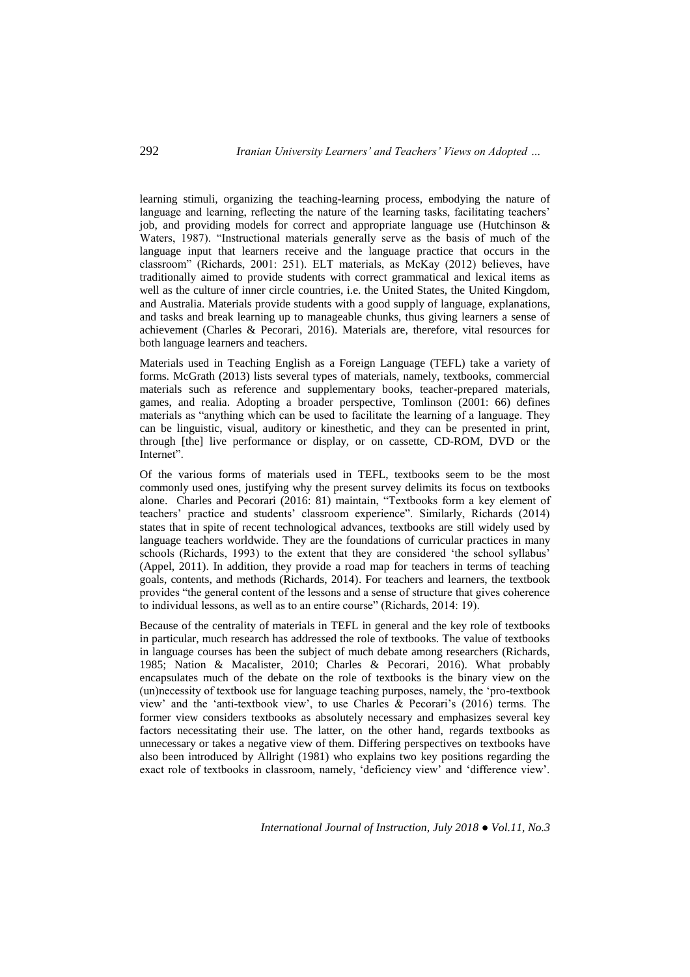learning stimuli, organizing the teaching-learning process, embodying the nature of language and learning, reflecting the nature of the learning tasks, facilitating teachers' job, and providing models for correct and appropriate language use (Hutchinson  $\&$ Waters, 1987). "Instructional materials generally serve as the basis of much of the language input that learners receive and the language practice that occurs in the classroom" (Richards, 2001: 251). ELT materials, as McKay (2012) believes, have traditionally aimed to provide students with correct grammatical and lexical items as well as the culture of inner circle countries, i.e. the United States, the United Kingdom, and Australia. Materials provide students with a good supply of language, explanations, and tasks and break learning up to manageable chunks, thus giving learners a sense of achievement (Charles & Pecorari, 2016). Materials are, therefore, vital resources for both language learners and teachers.

Materials used in Teaching English as a Foreign Language (TEFL) take a variety of forms. McGrath (2013) lists several types of materials, namely, textbooks, commercial materials such as reference and supplementary books, teacher-prepared materials, games, and realia. Adopting a broader perspective, Tomlinson (2001: 66) defines materials as "anything which can be used to facilitate the learning of a language. They can be linguistic, visual, auditory or kinesthetic, and they can be presented in print, through [the] live performance or display, or on cassette, CD-ROM, DVD or the Internet".

Of the various forms of materials used in TEFL, textbooks seem to be the most commonly used ones, justifying why the present survey delimits its focus on textbooks alone. Charles and Pecorari (2016: 81) maintain, "Textbooks form a key element of teachers' practice and students' classroom experience". Similarly, Richards (2014) states that in spite of recent technological advances, textbooks are still widely used by language teachers worldwide. They are the foundations of curricular practices in many schools (Richards, 1993) to the extent that they are considered 'the school syllabus' (Appel, 2011). In addition, they provide a road map for teachers in terms of teaching goals, contents, and methods (Richards, 2014). For teachers and learners, the textbook provides "the general content of the lessons and a sense of structure that gives coherence to individual lessons, as well as to an entire course" (Richards, 2014: 19).

Because of the centrality of materials in TEFL in general and the key role of textbooks in particular, much research has addressed the role of textbooks. The value of textbooks in language courses has been the subject of much debate among researchers (Richards, 1985; Nation & Macalister, 2010; Charles & Pecorari, 2016). What probably encapsulates much of the debate on the role of textbooks is the binary view on the (un)necessity of textbook use for language teaching purposes, namely, the 'pro-textbook view' and the 'anti-textbook view', to use Charles & Pecorari's (2016) terms. The former view considers textbooks as absolutely necessary and emphasizes several key factors necessitating their use. The latter, on the other hand, regards textbooks as unnecessary or takes a negative view of them. Differing perspectives on textbooks have also been introduced by Allright (1981) who explains two key positions regarding the exact role of textbooks in classroom, namely, 'deficiency view' and 'difference view'.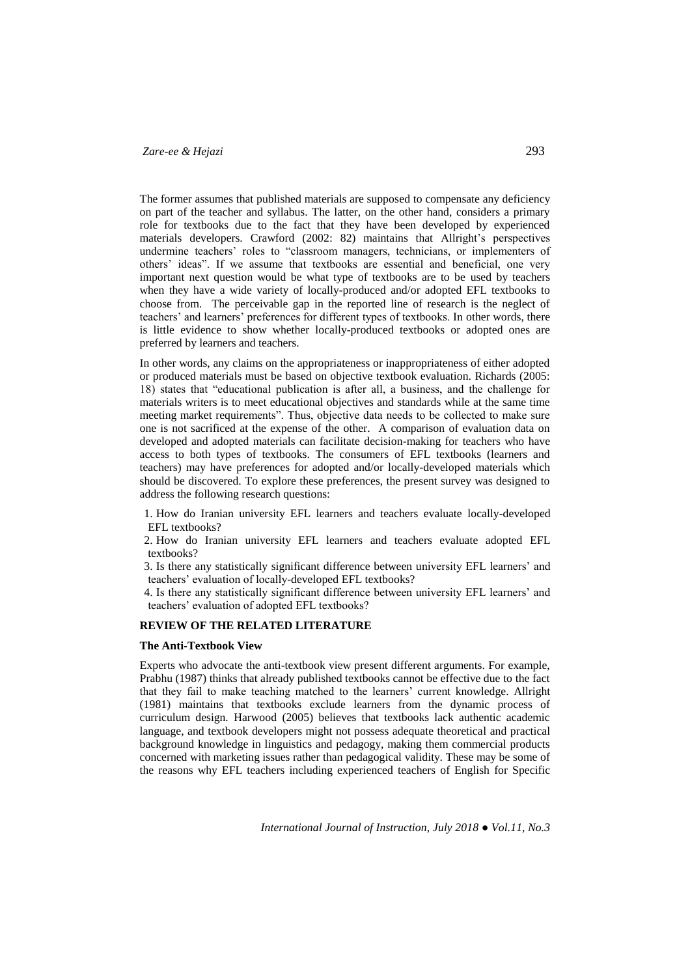The former assumes that published materials are supposed to compensate any deficiency on part of the teacher and syllabus. The latter, on the other hand, considers a primary role for textbooks due to the fact that they have been developed by experienced materials developers. Crawford (2002: 82) maintains that Allright's perspectives undermine teachers' roles to "classroom managers, technicians, or implementers of others' ideas". If we assume that textbooks are essential and beneficial, one very important next question would be what type of textbooks are to be used by teachers when they have a wide variety of locally-produced and/or adopted EFL textbooks to choose from. The perceivable gap in the reported line of research is the neglect of teachers' and learners' preferences for different types of textbooks. In other words, there is little evidence to show whether locally-produced textbooks or adopted ones are preferred by learners and teachers.

In other words, any claims on the appropriateness or inappropriateness of either adopted or produced materials must be based on objective textbook evaluation. Richards (2005: 18) states that "educational publication is after all, a business, and the challenge for materials writers is to meet educational objectives and standards while at the same time meeting market requirements". Thus, objective data needs to be collected to make sure one is not sacrificed at the expense of the other. A comparison of evaluation data on developed and adopted materials can facilitate decision-making for teachers who have access to both types of textbooks. The consumers of EFL textbooks (learners and teachers) may have preferences for adopted and/or locally-developed materials which should be discovered. To explore these preferences, the present survey was designed to address the following research questions:

1. How do Iranian university EFL learners and teachers evaluate locally-developed EFL textbooks?

2. How do Iranian university EFL learners and teachers evaluate adopted EFL textbooks?

3. Is there any statistically significant difference between university EFL learners' and teachers' evaluation of locally-developed EFL textbooks?

4. Is there any statistically significant difference between university EFL learners' and teachers' evaluation of adopted EFL textbooks?

#### **REVIEW OF THE RELATED LITERATURE**

#### **The Anti-Textbook View**

Experts who advocate the anti-textbook view present different arguments. For example, Prabhu (1987) thinks that already published textbooks cannot be effective due to the fact that they fail to make teaching matched to the learners' current knowledge. Allright (1981) maintains that textbooks exclude learners from the dynamic process of curriculum design. Harwood (2005) believes that textbooks lack authentic academic language, and textbook developers might not possess adequate theoretical and practical background knowledge in linguistics and pedagogy, making them commercial products concerned with marketing issues rather than pedagogical validity. These may be some of the reasons why EFL teachers including experienced teachers of English for Specific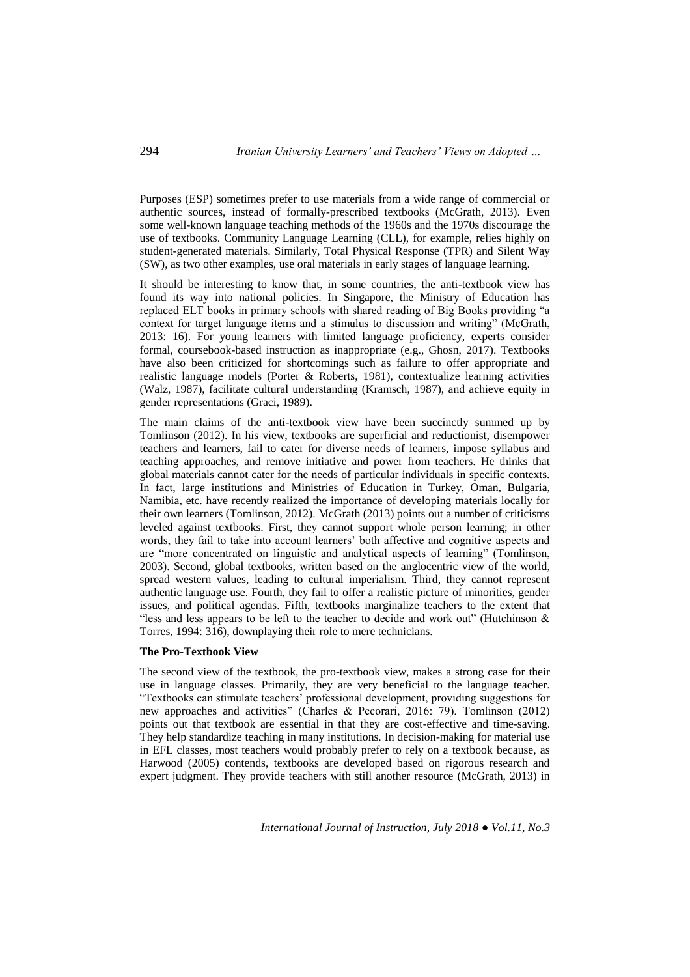Purposes (ESP) sometimes prefer to use materials from a wide range of commercial or authentic sources, instead of formally-prescribed textbooks (McGrath, 2013). Even some well-known language teaching methods of the 1960s and the 1970s discourage the use of textbooks. Community Language Learning (CLL), for example, relies highly on student-generated materials. Similarly, Total Physical Response (TPR) and Silent Way (SW), as two other examples, use oral materials in early stages of language learning.

It should be interesting to know that, in some countries, the anti-textbook view has found its way into national policies. In Singapore, the Ministry of Education has replaced ELT books in primary schools with shared reading of Big Books providing "a context for target language items and a stimulus to discussion and writing" (McGrath, 2013: 16). For young learners with limited language proficiency, experts consider formal, coursebook-based instruction as inappropriate (e.g., Ghosn, 2017). Textbooks have also been criticized for shortcomings such as failure to offer appropriate and realistic language models (Porter & Roberts, 1981), contextualize learning activities (Walz, 1987), facilitate cultural understanding (Kramsch, 1987), and achieve equity in gender representations (Graci, 1989).

The main claims of the anti-textbook view have been succinctly summed up by Tomlinson (2012). In his view, textbooks are superficial and reductionist, disempower teachers and learners, fail to cater for diverse needs of learners, impose syllabus and teaching approaches, and remove initiative and power from teachers. He thinks that global materials cannot cater for the needs of particular individuals in specific contexts. In fact, large institutions and Ministries of Education in Turkey, Oman, Bulgaria, Namibia, etc. have recently realized the importance of developing materials locally for their own learners (Tomlinson, 2012). McGrath (2013) points out a number of criticisms leveled against textbooks. First, they cannot support whole person learning; in other words, they fail to take into account learners' both affective and cognitive aspects and are "more concentrated on linguistic and analytical aspects of learning" (Tomlinson, 2003). Second, global textbooks, written based on the anglocentric view of the world, spread western values, leading to cultural imperialism. Third, they cannot represent authentic language use. Fourth, they fail to offer a realistic picture of minorities, gender issues, and political agendas. Fifth, textbooks marginalize teachers to the extent that "less and less appears to be left to the teacher to decide and work out" (Hutchinson  $\&$ Torres, 1994: 316), downplaying their role to mere technicians.

### **The Pro-Textbook View**

The second view of the textbook, the pro-textbook view, makes a strong case for their use in language classes. Primarily, they are very beneficial to the language teacher. "Textbooks can stimulate teachers' professional development, providing suggestions for new approaches and activities" (Charles & Pecorari, 2016: 79). Tomlinson (2012) points out that textbook are essential in that they are cost-effective and time-saving. They help standardize teaching in many institutions. In decision-making for material use in EFL classes, most teachers would probably prefer to rely on a textbook because, as Harwood (2005) contends, textbooks are developed based on rigorous research and expert judgment. They provide teachers with still another resource (McGrath, 2013) in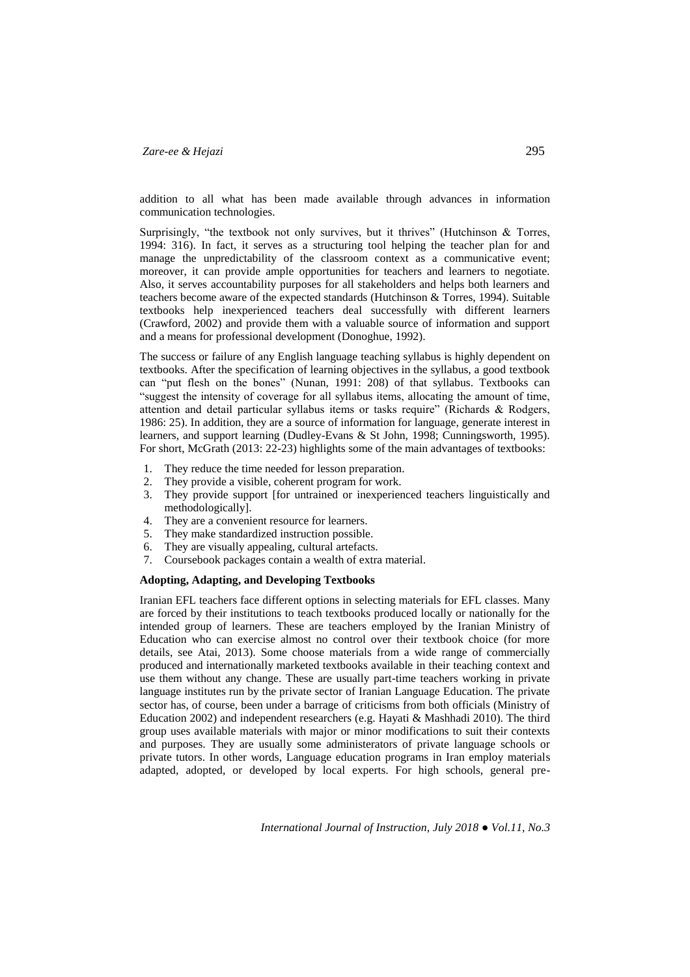addition to all what has been made available through advances in information communication technologies.

Surprisingly, "the textbook not only survives, but it thrives" (Hutchinson & Torres, 1994: 316). In fact, it serves as a structuring tool helping the teacher plan for and manage the unpredictability of the classroom context as a communicative event; moreover, it can provide ample opportunities for teachers and learners to negotiate. Also, it serves accountability purposes for all stakeholders and helps both learners and teachers become aware of the expected standards (Hutchinson & Torres, 1994). Suitable textbooks help inexperienced teachers deal successfully with different learners (Crawford, 2002) and provide them with a valuable source of information and support and a means for professional development (Donoghue, 1992).

The success or failure of any English language teaching syllabus is highly dependent on textbooks. After the specification of learning objectives in the syllabus, a good textbook can "put flesh on the bones" (Nunan, 1991: 208) of that syllabus. Textbooks can "suggest the intensity of coverage for all syllabus items, allocating the amount of time, attention and detail particular syllabus items or tasks require" (Richards & Rodgers, 1986: 25). In addition, they are a source of information for language, generate interest in learners, and support learning (Dudley-Evans & St John, 1998; Cunningsworth, 1995). For short, McGrath (2013: 22-23) highlights some of the main advantages of textbooks:

- 1. They reduce the time needed for lesson preparation.
- 2. They provide a visible, coherent program for work.
- 3. They provide support [for untrained or inexperienced teachers linguistically and methodologically].
- 4. They are a convenient resource for learners.
- 5. They make standardized instruction possible.
- 6. They are visually appealing, cultural artefacts.
- 7. Coursebook packages contain a wealth of extra material.

#### **Adopting, Adapting, and Developing Textbooks**

Iranian EFL teachers face different options in selecting materials for EFL classes. Many are forced by their institutions to teach textbooks produced locally or nationally for the intended group of learners. These are teachers employed by the Iranian Ministry of Education who can exercise almost no control over their textbook choice (for more details, see Atai, 2013). Some choose materials from a wide range of commercially produced and internationally marketed textbooks available in their teaching context and use them without any change. These are usually part-time teachers working in private language institutes run by the private sector of Iranian Language Education. The private sector has, of course, been under a barrage of criticisms from both officials (Ministry of Education 2002) and independent researchers (e.g. Hayati & Mashhadi 2010). The third group uses available materials with major or minor modifications to suit their contexts and purposes. They are usually some administerators of private language schools or private tutors. In other words, Language education programs in Iran employ materials adapted, adopted, or developed by local experts. For high schools, general pre-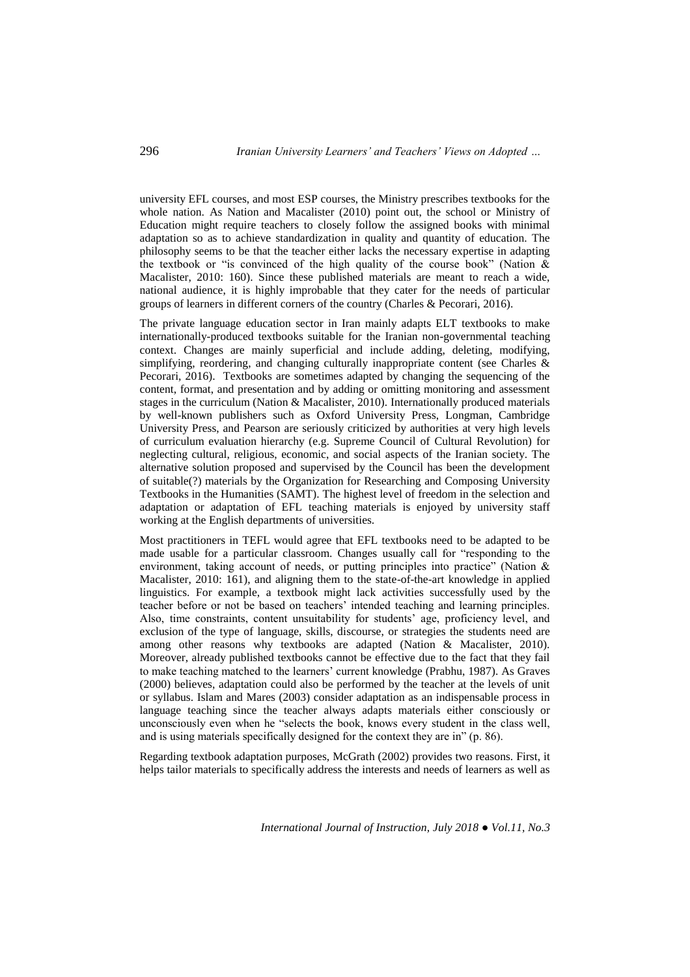university EFL courses, and most ESP courses, the Ministry prescribes textbooks for the whole nation. As Nation and Macalister (2010) point out, the school or Ministry of Education might require teachers to closely follow the assigned books with minimal adaptation so as to achieve standardization in quality and quantity of education. The philosophy seems to be that the teacher either lacks the necessary expertise in adapting the textbook or "is convinced of the high quality of the course book" (Nation  $\&$ Macalister, 2010: 160). Since these published materials are meant to reach a wide, national audience, it is highly improbable that they cater for the needs of particular groups of learners in different corners of the country (Charles & Pecorari, 2016).

The private language education sector in Iran mainly adapts ELT textbooks to make internationally-produced textbooks suitable for the Iranian non-governmental teaching context. Changes are mainly superficial and include adding, deleting, modifying, simplifying, reordering, and changing culturally inappropriate content (see Charles & Pecorari, 2016). Textbooks are sometimes adapted by changing the sequencing of the content, format, and presentation and by adding or omitting monitoring and assessment stages in the curriculum (Nation & Macalister, 2010). Internationally produced materials by well-known publishers such as Oxford University Press, Longman, Cambridge University Press, and Pearson are seriously criticized by authorities at very high levels of curriculum evaluation hierarchy (e.g. Supreme Council of Cultural Revolution) for neglecting cultural, religious, economic, and social aspects of the Iranian society. The alternative solution proposed and supervised by the Council has been the development of suitable(?) materials by the Organization for Researching and Composing University Textbooks in the Humanities (SAMT). The highest level of freedom in the selection and adaptation or adaptation of EFL teaching materials is enjoyed by university staff working at the English departments of universities.

Most practitioners in TEFL would agree that EFL textbooks need to be adapted to be made usable for a particular classroom. Changes usually call for "responding to the environment, taking account of needs, or putting principles into practice" (Nation & Macalister, 2010: 161), and aligning them to the state-of-the-art knowledge in applied linguistics. For example, a textbook might lack activities successfully used by the teacher before or not be based on teachers' intended teaching and learning principles. Also, time constraints, content unsuitability for students' age, proficiency level, and exclusion of the type of language, skills, discourse, or strategies the students need are among other reasons why textbooks are adapted (Nation & Macalister, 2010). Moreover, already published textbooks cannot be effective due to the fact that they fail to make teaching matched to the learners' current knowledge (Prabhu, 1987). As Graves (2000) believes, adaptation could also be performed by the teacher at the levels of unit or syllabus. Islam and Mares (2003) consider adaptation as an indispensable process in language teaching since the teacher always adapts materials either consciously or unconsciously even when he "selects the book, knows every student in the class well, and is using materials specifically designed for the context they are in" (p. 86).

Regarding textbook adaptation purposes, McGrath (2002) provides two reasons. First, it helps tailor materials to specifically address the interests and needs of learners as well as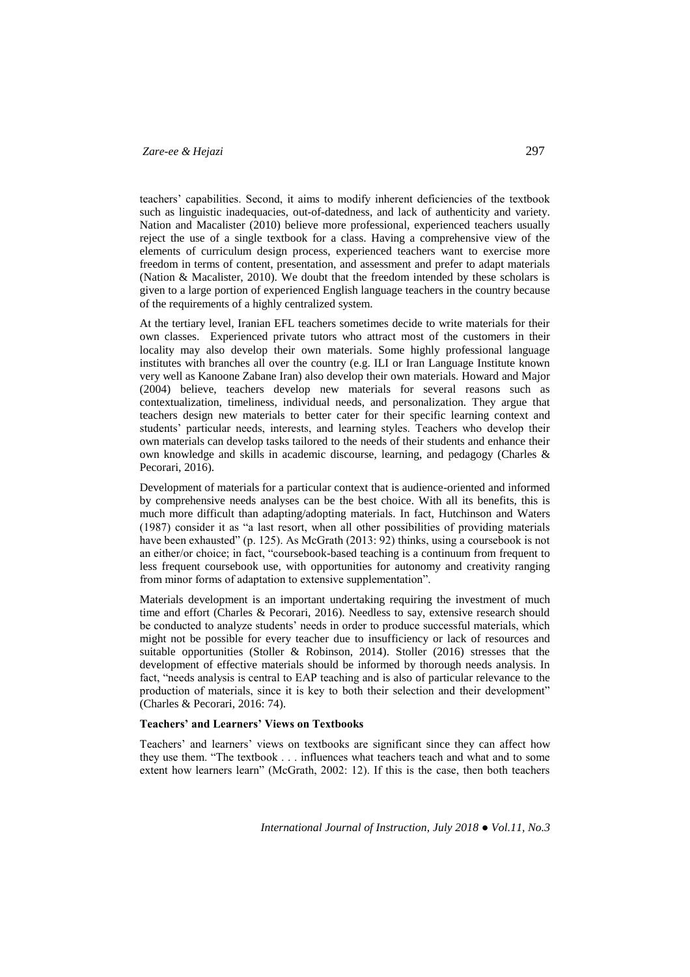teachers' capabilities. Second, it aims to modify inherent deficiencies of the textbook such as linguistic inadequacies, out-of-datedness, and lack of authenticity and variety. Nation and Macalister (2010) believe more professional, experienced teachers usually reject the use of a single textbook for a class. Having a comprehensive view of the elements of curriculum design process, experienced teachers want to exercise more freedom in terms of content, presentation, and assessment and prefer to adapt materials (Nation & Macalister, 2010). We doubt that the freedom intended by these scholars is given to a large portion of experienced English language teachers in the country because of the requirements of a highly centralized system.

At the tertiary level, Iranian EFL teachers sometimes decide to write materials for their own classes. Experienced private tutors who attract most of the customers in their locality may also develop their own materials. Some highly professional language institutes with branches all over the country (e.g. ILI or Iran Language Institute known very well as Kanoone Zabane Iran) also develop their own materials. Howard and Major (2004) believe, teachers develop new materials for several reasons such as contextualization, timeliness, individual needs, and personalization. They argue that teachers design new materials to better cater for their specific learning context and students' particular needs, interests, and learning styles. Teachers who develop their own materials can develop tasks tailored to the needs of their students and enhance their own knowledge and skills in academic discourse, learning, and pedagogy (Charles & Pecorari, 2016).

Development of materials for a particular context that is audience-oriented and informed by comprehensive needs analyses can be the best choice. With all its benefits, this is much more difficult than adapting/adopting materials. In fact, Hutchinson and Waters (1987) consider it as "a last resort, when all other possibilities of providing materials have been exhausted" (p. 125). As McGrath (2013: 92) thinks, using a coursebook is not an either/or choice; in fact, "coursebook-based teaching is a continuum from frequent to less frequent coursebook use, with opportunities for autonomy and creativity ranging from minor forms of adaptation to extensive supplementation".

Materials development is an important undertaking requiring the investment of much time and effort (Charles & Pecorari, 2016). Needless to say, extensive research should be conducted to analyze students' needs in order to produce successful materials, which might not be possible for every teacher due to insufficiency or lack of resources and suitable opportunities (Stoller & Robinson, 2014). Stoller (2016) stresses that the development of effective materials should be informed by thorough needs analysis. In fact, "needs analysis is central to EAP teaching and is also of particular relevance to the production of materials, since it is key to both their selection and their development" (Charles & Pecorari, 2016: 74).

### **Teachers' and Learners' Views on Textbooks**

Teachers' and learners' views on textbooks are significant since they can affect how they use them. "The textbook . . . influences what teachers teach and what and to some extent how learners learn" (McGrath, 2002: 12). If this is the case, then both teachers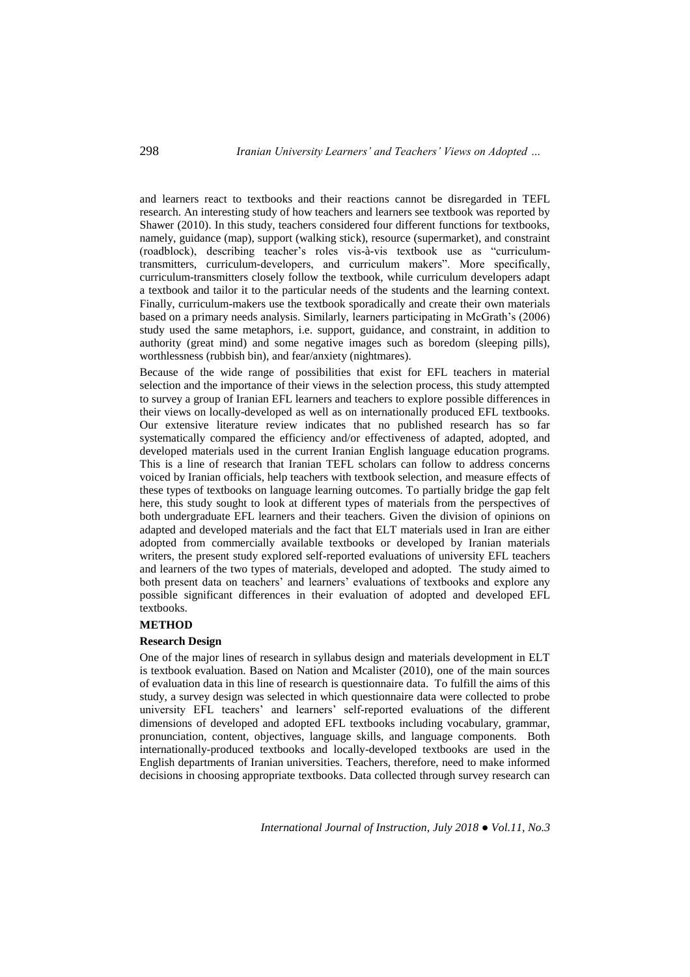and learners react to textbooks and their reactions cannot be disregarded in TEFL research. An interesting study of how teachers and learners see textbook was reported by Shawer (2010). In this study, teachers considered four different functions for textbooks, namely, guidance (map), support (walking stick), resource (supermarket), and constraint (roadblock), describing teacher's roles vis-à-vis textbook use as "curriculumtransmitters, curriculum-developers, and curriculum makers". More specifically, curriculum-transmitters closely follow the textbook, while curriculum developers adapt a textbook and tailor it to the particular needs of the students and the learning context. Finally, curriculum-makers use the textbook sporadically and create their own materials based on a primary needs analysis. Similarly, learners participating in McGrath's (2006) study used the same metaphors, i.e. support, guidance, and constraint, in addition to authority (great mind) and some negative images such as boredom (sleeping pills), worthlessness (rubbish bin), and fear/anxiety (nightmares).

Because of the wide range of possibilities that exist for EFL teachers in material selection and the importance of their views in the selection process, this study attempted to survey a group of Iranian EFL learners and teachers to explore possible differences in their views on locally-developed as well as on internationally produced EFL textbooks. Our extensive literature review indicates that no published research has so far systematically compared the efficiency and/or effectiveness of adapted, adopted, and developed materials used in the current Iranian English language education programs. This is a line of research that Iranian TEFL scholars can follow to address concerns voiced by Iranian officials, help teachers with textbook selection, and measure effects of these types of textbooks on language learning outcomes. To partially bridge the gap felt here, this study sought to look at different types of materials from the perspectives of both undergraduate EFL learners and their teachers. Given the division of opinions on adapted and developed materials and the fact that ELT materials used in Iran are either adopted from commercially available textbooks or developed by Iranian materials writers, the present study explored self-reported evaluations of university EFL teachers and learners of the two types of materials, developed and adopted. The study aimed to both present data on teachers' and learners' evaluations of textbooks and explore any possible significant differences in their evaluation of adopted and developed EFL textbooks.

#### **METHOD**

#### **Research Design**

One of the major lines of research in syllabus design and materials development in ELT is textbook evaluation. Based on Nation and Mcalister (2010), one of the main sources of evaluation data in this line of research is questionnaire data. To fulfill the aims of this study, a survey design was selected in which questionnaire data were collected to probe university EFL teachers' and learners' self-reported evaluations of the different dimensions of developed and adopted EFL textbooks including vocabulary, grammar, pronunciation, content, objectives, language skills, and language components. Both internationally-produced textbooks and locally-developed textbooks are used in the English departments of Iranian universities. Teachers, therefore, need to make informed decisions in choosing appropriate textbooks. Data collected through survey research can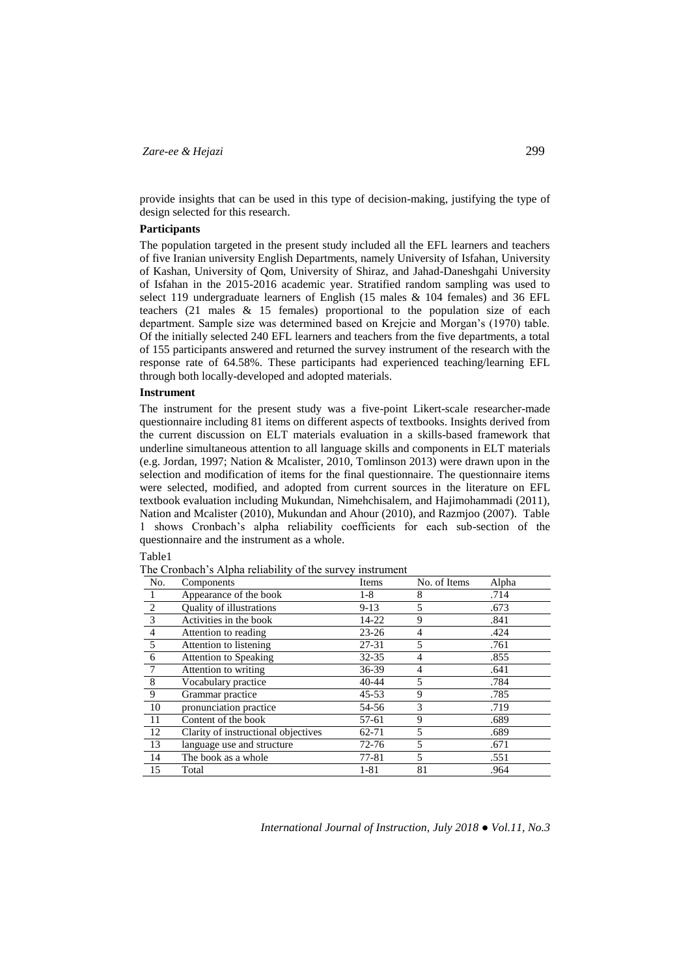provide insights that can be used in this type of decision-making, justifying the type of design selected for this research.

### **Participants**

The population targeted in the present study included all the EFL learners and teachers of five Iranian university English Departments, namely University of Isfahan, University of Kashan, University of Qom, University of Shiraz, and Jahad-Daneshgahi University of Isfahan in the 2015-2016 academic year. Stratified random sampling was used to select 119 undergraduate learners of English (15 males & 104 females) and 36 EFL teachers (21 males & 15 females) proportional to the population size of each department. Sample size was determined based on Krejcie and Morgan's (1970) table. Of the initially selected 240 EFL learners and teachers from the five departments, a total of 155 participants answered and returned the survey instrument of the research with the response rate of 64.58%. These participants had experienced teaching/learning EFL through both locally-developed and adopted materials.

#### **Instrument**

The instrument for the present study was a five-point Likert-scale researcher-made questionnaire including 81 items on different aspects of textbooks. Insights derived from the current discussion on ELT materials evaluation in a skills-based framework that underline simultaneous attention to all language skills and components in ELT materials (e.g. Jordan, 1997; Nation & Mcalister, 2010, Tomlinson 2013) were drawn upon in the selection and modification of items for the final questionnaire. The questionnaire items were selected, modified, and adopted from current sources in the literature on EFL textbook evaluation including Mukundan, Nimehchisalem, and Hajimohammadi (2011), Nation and Mcalister (2010), Mukundan and Ahour (2010), and Razmjoo (2007). Table 1 shows Cronbach's alpha reliability coefficients for each sub-section of the questionnaire and the instrument as a whole.

### Table1

|  |  |  |  | The Cronbach's Alpha reliability of the survey instrument |  |
|--|--|--|--|-----------------------------------------------------------|--|
|  |  |  |  |                                                           |  |

| No.            | Components                          | Items     | No. of Items | Alpha |
|----------------|-------------------------------------|-----------|--------------|-------|
|                | Appearance of the book              | $1-8$     | 8            | .714  |
| 2              | <b>Ouality of illustrations</b>     | $9-13$    | 5            | .673  |
| $\overline{3}$ | Activities in the book              | 14-22     | 9            | .841  |
| $\overline{4}$ | Attention to reading                | $23 - 26$ | 4            | .424  |
| 5              | Attention to listening              | $27 - 31$ | 5            | .761  |
| 6              | <b>Attention to Speaking</b>        | $32 - 35$ | 4            | .855  |
|                | Attention to writing                | 36-39     | 4            | .641  |
| 8              | Vocabulary practice                 | $40 - 44$ | 5            | .784  |
| 9              | Grammar practice                    | $45 - 53$ | 9            | .785  |
| 10             | pronunciation practice              | 54-56     | 3            | .719  |
| 11             | Content of the book                 | 57-61     | 9            | .689  |
| 12             | Clarity of instructional objectives | 62-71     | 5            | .689  |
| 13             | language use and structure          | $72 - 76$ | 5            | .671  |
| 14             | The book as a whole                 | 77-81     | 5            | .551  |
| 15             | Total                               | 1-81      | 81           | .964  |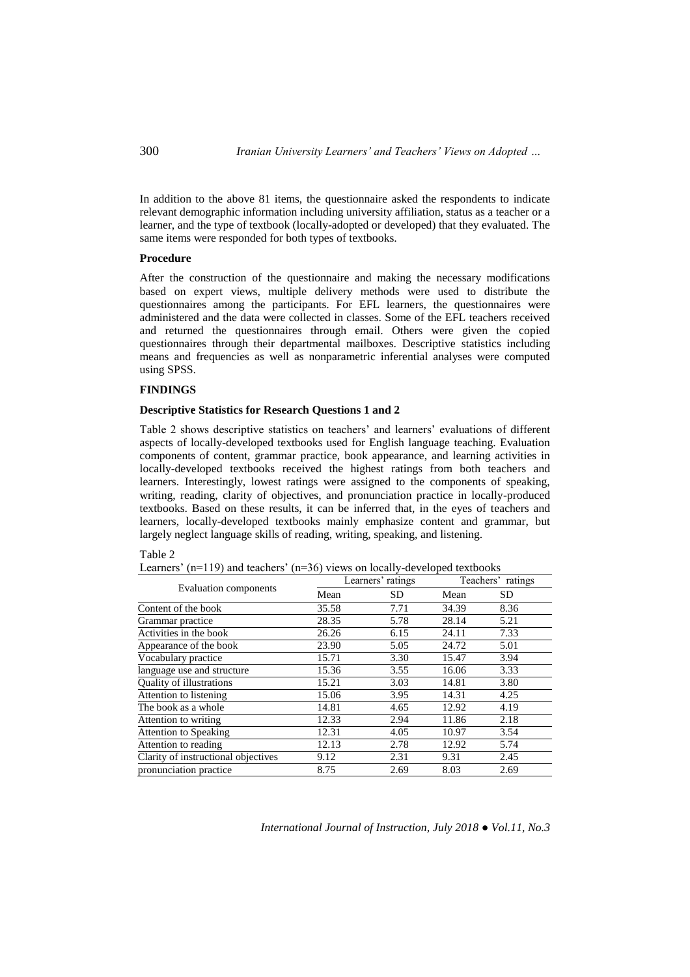In addition to the above 81 items, the questionnaire asked the respondents to indicate relevant demographic information including university affiliation, status as a teacher or a learner, and the type of textbook (locally-adopted or developed) that they evaluated. The same items were responded for both types of textbooks.

#### **Procedure**

After the construction of the questionnaire and making the necessary modifications based on expert views, multiple delivery methods were used to distribute the questionnaires among the participants. For EFL learners, the questionnaires were administered and the data were collected in classes. Some of the EFL teachers received and returned the questionnaires through email. Others were given the copied questionnaires through their departmental mailboxes. Descriptive statistics including means and frequencies as well as nonparametric inferential analyses were computed using SPSS.

### **FINDINGS**

#### **Descriptive Statistics for Research Questions 1 and 2**

Table 2 shows descriptive statistics on teachers' and learners' evaluations of different aspects of locally-developed textbooks used for English language teaching. Evaluation components of content, grammar practice, book appearance, and learning activities in locally-developed textbooks received the highest ratings from both teachers and learners. Interestingly, lowest ratings were assigned to the components of speaking, writing, reading, clarity of objectives, and pronunciation practice in locally-produced textbooks. Based on these results, it can be inferred that, in the eyes of teachers and learners, locally-developed textbooks mainly emphasize content and grammar, but largely neglect language skills of reading, writing, speaking, and listening.

## Table 2

Learners' ( $n=119$ ) and teachers' ( $n=36$ ) views on locally-developed textbooks

|                                     |       | Learners' ratings |       | Teachers' ratings |  |  |
|-------------------------------------|-------|-------------------|-------|-------------------|--|--|
| Evaluation components               | Mean  | SD                | Mean  | SD.               |  |  |
| Content of the book                 | 35.58 | 7.71              | 34.39 | 8.36              |  |  |
| Grammar practice                    | 28.35 | 5.78              | 28.14 | 5.21              |  |  |
| Activities in the book              | 26.26 | 6.15              | 24.11 | 7.33              |  |  |
| Appearance of the book              | 23.90 | 5.05              | 24.72 | 5.01              |  |  |
| Vocabulary practice                 | 15.71 | 3.30              | 15.47 | 3.94              |  |  |
| language use and structure          | 15.36 | 3.55              | 16.06 | 3.33              |  |  |
| <b>Ouality of illustrations</b>     | 15.21 | 3.03              | 14.81 | 3.80              |  |  |
| Attention to listening              | 15.06 | 3.95              | 14.31 | 4.25              |  |  |
| The book as a whole                 | 14.81 | 4.65              | 12.92 | 4.19              |  |  |
| Attention to writing                | 12.33 | 2.94              | 11.86 | 2.18              |  |  |
| <b>Attention to Speaking</b>        | 12.31 | 4.05              | 10.97 | 3.54              |  |  |
| Attention to reading                | 12.13 | 2.78              | 12.92 | 5.74              |  |  |
| Clarity of instructional objectives | 9.12  | 2.31              | 9.31  | 2.45              |  |  |
| pronunciation practice              | 8.75  | 2.69              | 8.03  | 2.69              |  |  |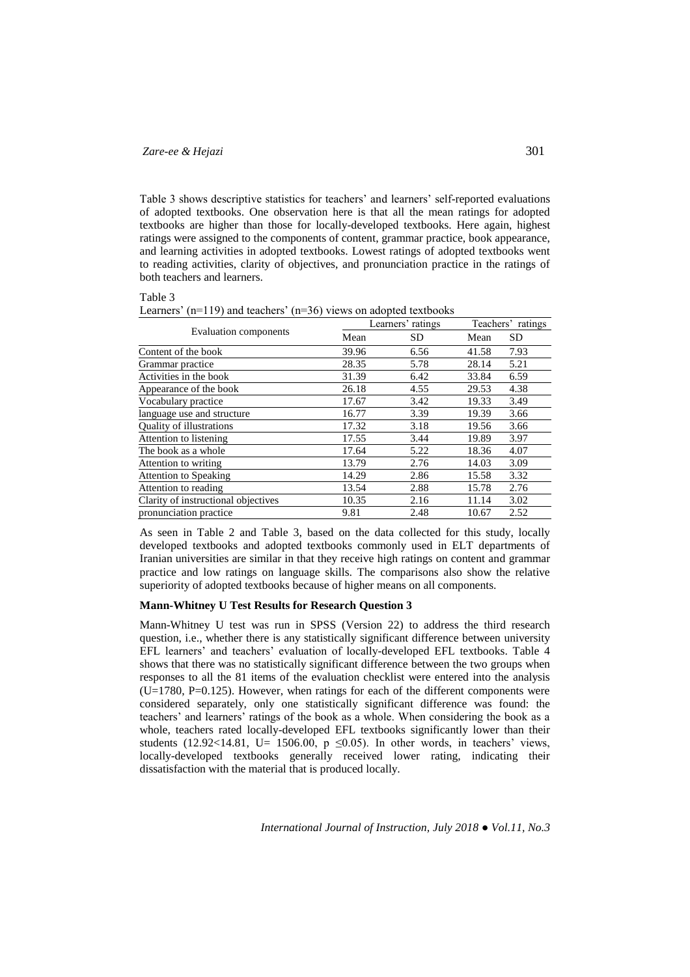Table 3 shows descriptive statistics for teachers' and learners' self-reported evaluations of adopted textbooks. One observation here is that all the mean ratings for adopted textbooks are higher than those for locally-developed textbooks. Here again, highest ratings were assigned to the components of content, grammar practice, book appearance, and learning activities in adopted textbooks. Lowest ratings of adopted textbooks went to reading activities, clarity of objectives, and pronunciation practice in the ratings of both teachers and learners.

### Table 3

Learners' (n=119) and teachers' (n=36) views on adopted textbooks

|                                     | Learners' ratings |           | Teachers' ratings |           |
|-------------------------------------|-------------------|-----------|-------------------|-----------|
| Evaluation components               | Mean              | <b>SD</b> | Mean              | <b>SD</b> |
| Content of the book                 | 39.96             | 6.56      | 41.58             | 7.93      |
| Grammar practice                    | 28.35             | 5.78      | 28.14             | 5.21      |
| Activities in the book              | 31.39             | 6.42      | 33.84             | 6.59      |
| Appearance of the book              | 26.18             | 4.55      | 29.53             | 4.38      |
| Vocabulary practice                 | 17.67             | 3.42      | 19.33             | 3.49      |
| language use and structure          | 16.77             | 3.39      | 19.39             | 3.66      |
| <b>Quality of illustrations</b>     | 17.32             | 3.18      | 19.56             | 3.66      |
| Attention to listening              | 17.55             | 3.44      | 19.89             | 3.97      |
| The book as a whole                 | 17.64             | 5.22      | 18.36             | 4.07      |
| Attention to writing                | 13.79             | 2.76      | 14.03             | 3.09      |
| Attention to Speaking               | 14.29             | 2.86      | 15.58             | 3.32      |
| Attention to reading                | 13.54             | 2.88      | 15.78             | 2.76      |
| Clarity of instructional objectives | 10.35             | 2.16      | 11.14             | 3.02      |
| pronunciation practice              | 9.81              | 2.48      | 10.67             | 2.52      |

As seen in Table 2 and Table 3, based on the data collected for this study, locally developed textbooks and adopted textbooks commonly used in ELT departments of Iranian universities are similar in that they receive high ratings on content and grammar practice and low ratings on language skills. The comparisons also show the relative superiority of adopted textbooks because of higher means on all components.

#### **Mann-Whitney U Test Results for Research Question 3**

Mann-Whitney U test was run in SPSS (Version 22) to address the third research question, i.e., whether there is any statistically significant difference between university EFL learners' and teachers' evaluation of locally-developed EFL textbooks. Table 4 shows that there was no statistically significant difference between the two groups when responses to all the 81 items of the evaluation checklist were entered into the analysis (U=1780, P=0.125). However, when ratings for each of the different components were considered separately, only one statistically significant difference was found: the teachers' and learners' ratings of the book as a whole. When considering the book as a whole, teachers rated locally-developed EFL textbooks significantly lower than their students (12.92<14.81, U= 1506.00,  $p \le 0.05$ ). In other words, in teachers' views, locally-developed textbooks generally received lower rating, indicating their dissatisfaction with the material that is produced locally.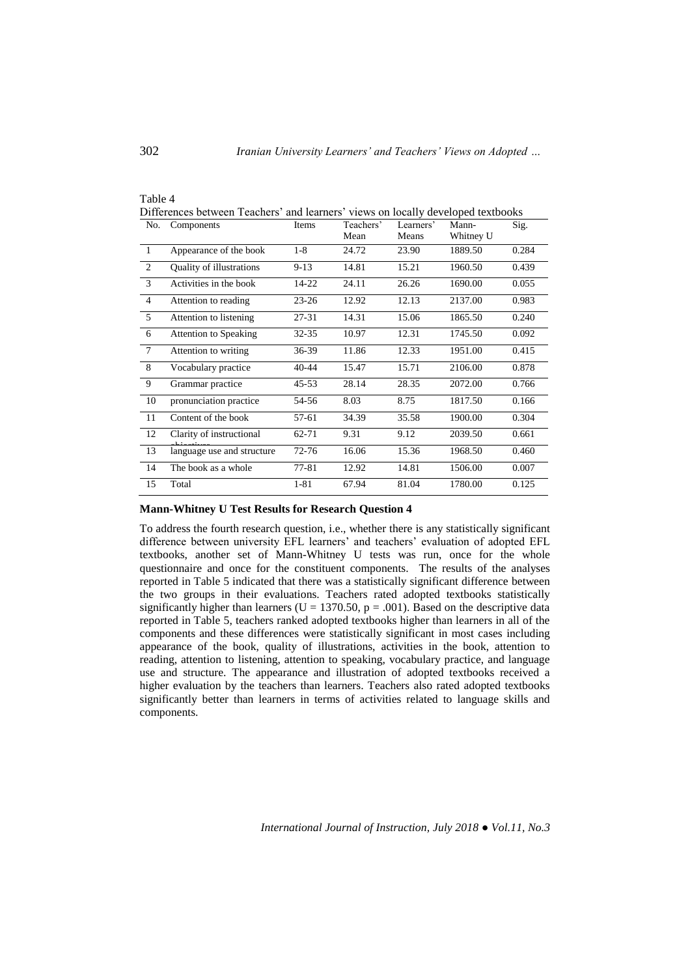|                | Differences between Teachers' and learners' views on locally developed textbooks |           |           |           |           |       |  |  |  |  |
|----------------|----------------------------------------------------------------------------------|-----------|-----------|-----------|-----------|-------|--|--|--|--|
| No.            | Components                                                                       | Items     | Teachers' | Learners' | Mann-     | Sig.  |  |  |  |  |
|                |                                                                                  |           | Mean      | Means     | Whitney U |       |  |  |  |  |
| $\overline{1}$ | Appearance of the book                                                           | $1-8$     | 24.72     | 23.90     | 1889.50   | 0.284 |  |  |  |  |
| 2              | Quality of illustrations                                                         | $9 - 13$  | 14.81     | 15.21     | 1960.50   | 0.439 |  |  |  |  |
| 3              | Activities in the book                                                           | 14-22     | 24.11     | 26.26     | 1690.00   | 0.055 |  |  |  |  |
| $\overline{4}$ | Attention to reading                                                             | $23 - 26$ | 12.92     | 12.13     | 2137.00   | 0.983 |  |  |  |  |
| 5              | Attention to listening                                                           | 27-31     | 14.31     | 15.06     | 1865.50   | 0.240 |  |  |  |  |
| 6              | <b>Attention to Speaking</b>                                                     | 32-35     | 10.97     | 12.31     | 1745.50   | 0.092 |  |  |  |  |
| $\tau$         | Attention to writing                                                             | 36-39     | 11.86     | 12.33     | 1951.00   | 0.415 |  |  |  |  |
| 8              | Vocabulary practice                                                              | $40 - 44$ | 15.47     | 15.71     | 2106.00   | 0.878 |  |  |  |  |
| 9              | Grammar practice                                                                 | $45 - 53$ | 28.14     | 28.35     | 2072.00   | 0.766 |  |  |  |  |
| 10             | pronunciation practice                                                           | 54-56     | 8.03      | 8.75      | 1817.50   | 0.166 |  |  |  |  |
| 11             | Content of the book                                                              | 57-61     | 34.39     | 35.58     | 1900.00   | 0.304 |  |  |  |  |
| 12             | Clarity of instructional                                                         | 62-71     | 9.31      | 9.12      | 2039.50   | 0.661 |  |  |  |  |
| 13             | language use and structure                                                       | 72-76     | 16.06     | 15.36     | 1968.50   | 0.460 |  |  |  |  |
| 14             | The book as a whole                                                              | 77-81     | 12.92     | 14.81     | 1506.00   | 0.007 |  |  |  |  |
| 15             | Total                                                                            | $1 - 81$  | 67.94     | 81.04     | 1780.00   | 0.125 |  |  |  |  |

**Mann-Whitney U Test Results for Research Question 4**

To address the fourth research question, i.e., whether there is any statistically significant difference between university EFL learners' and teachers' evaluation of adopted EFL textbooks, another set of Mann-Whitney U tests was run, once for the whole questionnaire and once for the constituent components. The results of the analyses reported in Table 5 indicated that there was a statistically significant difference between the two groups in their evaluations. Teachers rated adopted textbooks statistically significantly higher than learners ( $U = 1370.50$ ,  $p = .001$ ). Based on the descriptive data reported in Table 5, teachers ranked adopted textbooks higher than learners in all of the components and these differences were statistically significant in most cases including appearance of the book, quality of illustrations, activities in the book, attention to reading, attention to listening, attention to speaking, vocabulary practice, and language use and structure. The appearance and illustration of adopted textbooks received a higher evaluation by the teachers than learners. Teachers also rated adopted textbooks significantly better than learners in terms of activities related to language skills and components.

Table 4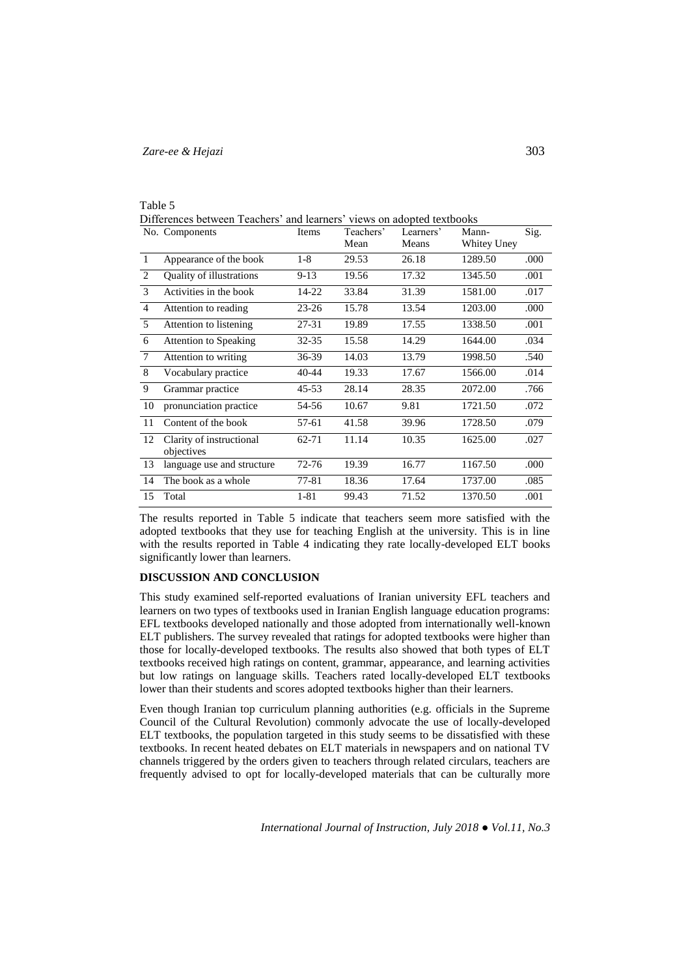#### Table 5

Differences between Teachers' and learners' views on adopted textbooks

|                | No. Components                         | Items     | Teachers'<br>Mean | Learners'<br>Means | Mann-<br>Whitey Uney | Sig. |
|----------------|----------------------------------------|-----------|-------------------|--------------------|----------------------|------|
| $\mathbf{1}$   | Appearance of the book                 | $1-8$     | 29.53             | 26.18              | 1289.50              | .000 |
| 2              | <b>Ouality of illustrations</b>        | $9-13$    | 19.56             | 17.32              | 1345.50              | .001 |
| 3              | Activities in the book                 | 14-22     | 33.84             | 31.39              | 1581.00              | .017 |
| $\overline{4}$ | Attention to reading                   | $23 - 26$ | 15.78             | 13.54              | 1203.00              | .000 |
| 5              | Attention to listening                 | 27-31     | 19.89             | 17.55              | 1338.50              | .001 |
| 6              | Attention to Speaking                  | 32-35     | 15.58             | 14.29              | 1644.00              | .034 |
| $\tau$         | Attention to writing                   | 36-39     | 14.03             | 13.79              | 1998.50              | .540 |
| 8              | Vocabulary practice                    | $40 - 44$ | 19.33             | 17.67              | 1566.00              | .014 |
| 9              | Grammar practice                       | $45 - 53$ | 28.14             | 28.35              | 2072.00              | .766 |
| 10             | pronunciation practice                 | 54-56     | 10.67             | 9.81               | 1721.50              | .072 |
| 11             | Content of the book                    | 57-61     | 41.58             | 39.96              | 1728.50              | .079 |
| 12             | Clarity of instructional<br>objectives | 62-71     | 11.14             | 10.35              | 1625.00              | .027 |
| 13             | language use and structure             | $72 - 76$ | 19.39             | 16.77              | 1167.50              | .000 |
| 14             | The book as a whole                    | 77-81     | 18.36             | 17.64              | 1737.00              | .085 |
| 15             | Total                                  | $1 - 81$  | 99.43             | 71.52              | 1370.50              | .001 |

The results reported in Table 5 indicate that teachers seem more satisfied with the adopted textbooks that they use for teaching English at the university. This is in line with the results reported in Table 4 indicating they rate locally-developed ELT books significantly lower than learners.

### **DISCUSSION AND CONCLUSION**

This study examined self-reported evaluations of Iranian university EFL teachers and learners on two types of textbooks used in Iranian English language education programs: EFL textbooks developed nationally and those adopted from internationally well-known ELT publishers. The survey revealed that ratings for adopted textbooks were higher than those for locally-developed textbooks. The results also showed that both types of ELT textbooks received high ratings on content, grammar, appearance, and learning activities but low ratings on language skills. Teachers rated locally-developed ELT textbooks lower than their students and scores adopted textbooks higher than their learners.

Even though Iranian top curriculum planning authorities (e.g. officials in the Supreme Council of the Cultural Revolution) commonly advocate the use of locally-developed ELT textbooks, the population targeted in this study seems to be dissatisfied with these textbooks. In recent heated debates on ELT materials in newspapers and on national TV channels triggered by the orders given to teachers through related circulars, teachers are frequently advised to opt for locally-developed materials that can be culturally more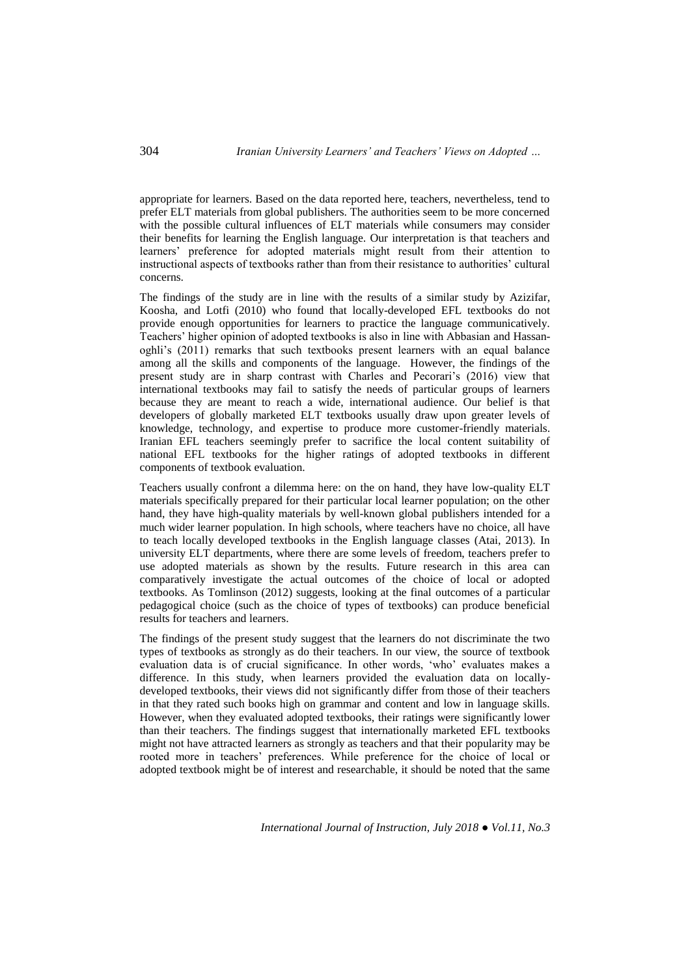appropriate for learners. Based on the data reported here, teachers, nevertheless, tend to prefer ELT materials from global publishers. The authorities seem to be more concerned with the possible cultural influences of ELT materials while consumers may consider their benefits for learning the English language. Our interpretation is that teachers and learners' preference for adopted materials might result from their attention to instructional aspects of textbooks rather than from their resistance to authorities' cultural concerns.

The findings of the study are in line with the results of a similar study by Azizifar, Koosha, and Lotfi (2010) who found that locally-developed EFL textbooks do not provide enough opportunities for learners to practice the language communicatively. Teachers' higher opinion of adopted textbooks is also in line with Abbasian and Hassanoghli's (2011) remarks that such textbooks present learners with an equal balance among all the skills and components of the language. However, the findings of the present study are in sharp contrast with Charles and Pecorari's (2016) view that international textbooks may fail to satisfy the needs of particular groups of learners because they are meant to reach a wide, international audience. Our belief is that developers of globally marketed ELT textbooks usually draw upon greater levels of knowledge, technology, and expertise to produce more customer-friendly materials. Iranian EFL teachers seemingly prefer to sacrifice the local content suitability of national EFL textbooks for the higher ratings of adopted textbooks in different components of textbook evaluation.

Teachers usually confront a dilemma here: on the on hand, they have low-quality ELT materials specifically prepared for their particular local learner population; on the other hand, they have high-quality materials by well-known global publishers intended for a much wider learner population. In high schools, where teachers have no choice, all have to teach locally developed textbooks in the English language classes (Atai, 2013). In university ELT departments, where there are some levels of freedom, teachers prefer to use adopted materials as shown by the results. Future research in this area can comparatively investigate the actual outcomes of the choice of local or adopted textbooks. As Tomlinson (2012) suggests, looking at the final outcomes of a particular pedagogical choice (such as the choice of types of textbooks) can produce beneficial results for teachers and learners.

The findings of the present study suggest that the learners do not discriminate the two types of textbooks as strongly as do their teachers. In our view, the source of textbook evaluation data is of crucial significance. In other words, 'who' evaluates makes a difference. In this study, when learners provided the evaluation data on locallydeveloped textbooks, their views did not significantly differ from those of their teachers in that they rated such books high on grammar and content and low in language skills. However, when they evaluated adopted textbooks, their ratings were significantly lower than their teachers. The findings suggest that internationally marketed EFL textbooks might not have attracted learners as strongly as teachers and that their popularity may be rooted more in teachers' preferences. While preference for the choice of local or adopted textbook might be of interest and researchable, it should be noted that the same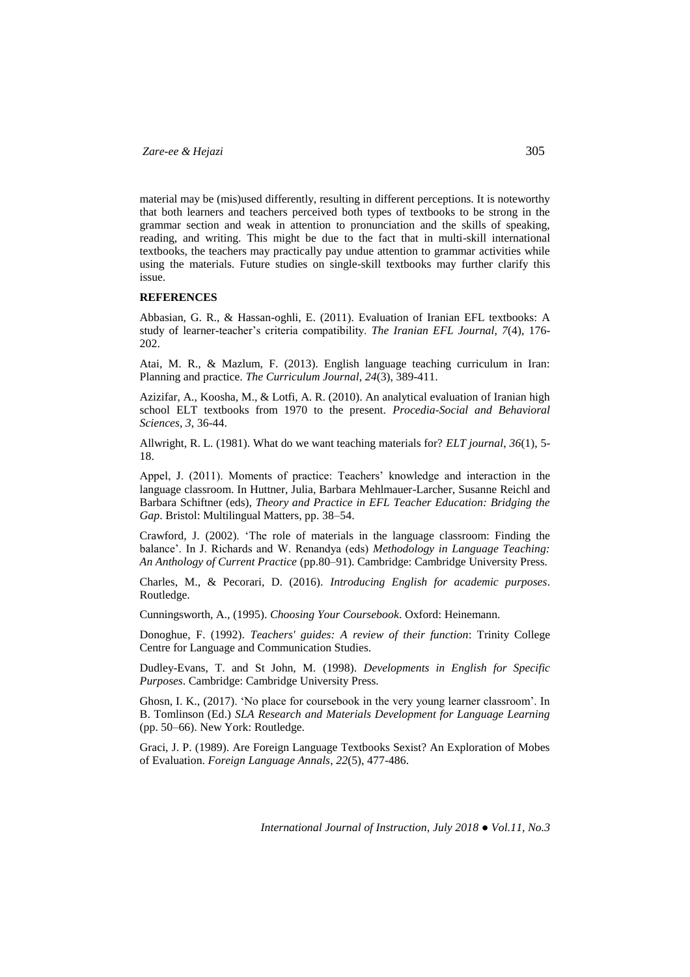material may be (mis)used differently, resulting in different perceptions. It is noteworthy that both learners and teachers perceived both types of textbooks to be strong in the grammar section and weak in attention to pronunciation and the skills of speaking, reading, and writing. This might be due to the fact that in multi-skill international textbooks, the teachers may practically pay undue attention to grammar activities while using the materials. Future studies on single-skill textbooks may further clarify this issue.

#### **REFERENCES**

Abbasian, G. R., & Hassan-oghli, E. (2011). Evaluation of Iranian EFL textbooks: A study of learner-teacher's criteria compatibility. *The Iranian EFL Journal*, *7*(4), 176- 202.

Atai, M. R., & Mazlum, F. (2013). English language teaching curriculum in Iran: Planning and practice. *The Curriculum Journal*, *24*(3), 389-411.

Azizifar, A., Koosha, M., & Lotfi, A. R. (2010). An analytical evaluation of Iranian high school ELT textbooks from 1970 to the present. *Procedia-Social and Behavioral Sciences*, *3*, 36-44.

Allwright, R. L. (1981). What do we want teaching materials for? *ELT journal*, *36*(1), 5- 18.

Appel, J. (2011). Moments of practice: Teachers' knowledge and interaction in the language classroom. In Huttner, Julia, Barbara Mehlmauer-Larcher, Susanne Reichl and Barbara Schiftner (eds), *Theory and Practice in EFL Teacher Education: Bridging the Gap*. Bristol: Multilingual Matters, pp. 38–54.

Crawford, J. (2002). 'The role of materials in the language classroom: Finding the balance'. In J. Richards and W. Renandya (eds) *Methodology in Language Teaching: An Anthology of Current Practice* (pp.80–91). Cambridge: Cambridge University Press.

Charles, M., & Pecorari, D. (2016). *Introducing English for academic purposes*. Routledge.

Cunningsworth, A., (1995). *Choosing Your Coursebook*. Oxford: Heinemann.

Donoghue, F. (1992). *Teachers' guides: A review of their function*: Trinity College Centre for Language and Communication Studies.

Dudley-Evans, T. and St John, M. (1998). *Developments in English for Specific Purposes*. Cambridge: Cambridge University Press.

Ghosn, I. K., (2017). 'No place for coursebook in the very young learner classroom'. In B. Tomlinson (Ed.) *SLA Research and Materials Development for Language Learning* (pp. 50–66). New York: Routledge.

Graci, J. P. (1989). Are Foreign Language Textbooks Sexist? An Exploration of Mobes of Evaluation. *Foreign Language Annals*, *22*(5), 477-486.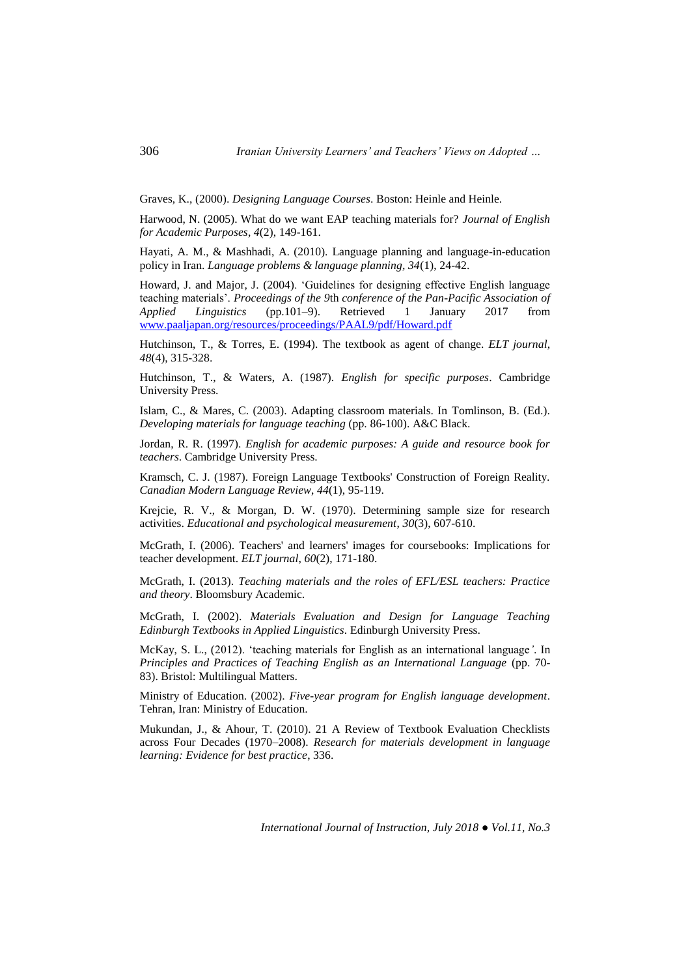Graves, K., (2000). *Designing Language Courses*. Boston: Heinle and Heinle.

Harwood, N. (2005). What do we want EAP teaching materials for? *Journal of English for Academic Purposes*, *4*(2), 149-161.

Hayati, A. M., & Mashhadi, A. (2010). Language planning and language-in-education policy in Iran. *Language problems & language planning, 34*(1), 24-42.

Howard, J. and Major, J. (2004). 'Guidelines for designing effective English language teaching materials'. *Proceedings of the 9*th *conference of the Pan-Pacific Association of Applied Linguistics* (pp.101–9). Retrieved 1 January 2017 from [www.paaljapan.org/resources/proceedings/PAAL9/pdf/Howard.pdf](http://www.paaljapan.org/resources/proceedings/PAAL9/pdf/Howard.pdf)

Hutchinson, T., & Torres, E. (1994). The textbook as agent of change. *ELT journal*, *48*(4), 315-328.

Hutchinson, T., & Waters, A. (1987). *English for specific purposes*. Cambridge University Press.

Islam, C., & Mares, C. (2003). Adapting classroom materials. In Tomlinson, B. (Ed.). *Developing materials for language teaching* (pp. 86-100). A&C Black.

Jordan, R. R. (1997). *English for academic purposes: A guide and resource book for teachers*. Cambridge University Press.

Kramsch, C. J. (1987). Foreign Language Textbooks' Construction of Foreign Reality. *Canadian Modern Language Review*, *44*(1), 95-119.

Krejcie, R. V., & Morgan, D. W. (1970). Determining sample size for research activities. *Educational and psychological measurement*, *30*(3), 607-610.

McGrath, I. (2006). Teachers' and learners' images for coursebooks: Implications for teacher development. *ELT journal*, *60*(2), 171-180.

McGrath, I. (2013). *Teaching materials and the roles of EFL/ESL teachers: Practice and theory*. Bloomsbury Academic.

McGrath, I. (2002). *Materials Evaluation and Design for Language Teaching Edinburgh Textbooks in Applied Linguistics*. Edinburgh University Press.

McKay, S. L., (2012). 'teaching materials for English as an international language*'*. In *Principles and Practices of Teaching English as an International Language* (pp. 70- 83). Bristol: Multilingual Matters.

Ministry of Education. (2002). *Five-year program for English language development*. Tehran, Iran: Ministry of Education.

Mukundan, J., & Ahour, T. (2010). 21 A Review of Textbook Evaluation Checklists across Four Decades (1970–2008). *Research for materials development in language learning: Evidence for best practice*, 336.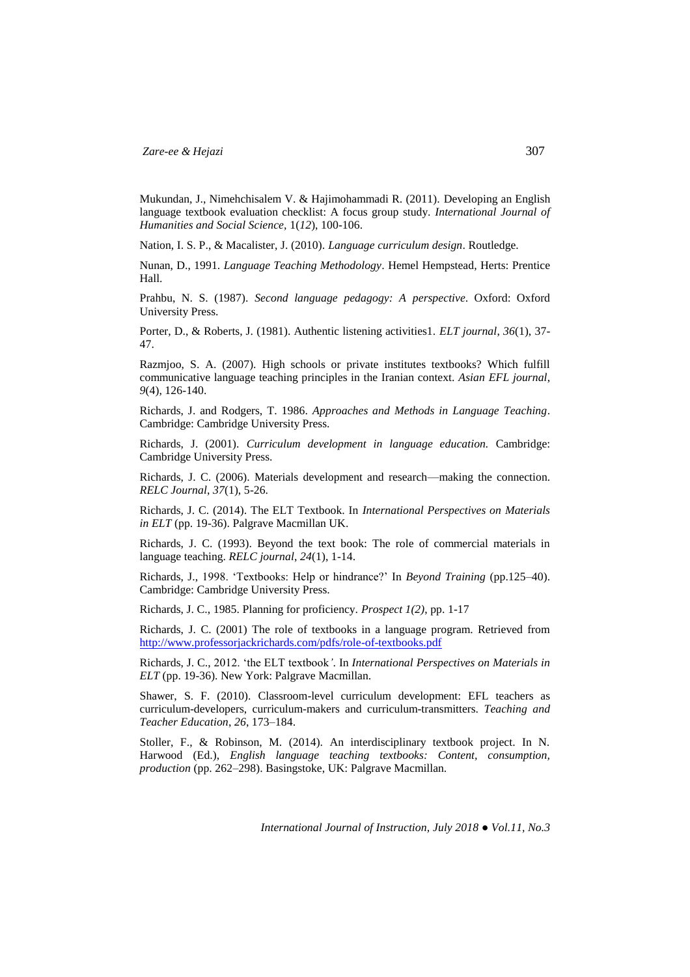Mukundan, J., Nimehchisalem V. & Hajimohammadi R. (2011). Developing an English language textbook evaluation checklist: A focus group study. *International Journal of Humanities and Social Science,* 1(*12*), 100-106.

Nation, I. S. P., & Macalister, J. (2010). *Language curriculum design*. Routledge.

Nunan, D., 1991. *Language Teaching Methodology*. Hemel Hempstead, Herts: Prentice Hall.

Prahbu, N. S. (1987). *Second language pedagogy: A perspective*. Oxford: Oxford University Press.

Porter, D., & Roberts, J. (1981). Authentic listening activities1. *ELT journal*, *36*(1), 37- 47.

Razmjoo, S. A. (2007). High schools or private institutes textbooks? Which fulfill communicative language teaching principles in the Iranian context. *Asian EFL journal*, *9*(4), 126-140.

Richards, J. and Rodgers, T. 1986. *Approaches and Methods in Language Teaching*. Cambridge: Cambridge University Press.

Richards, J. (2001). *Curriculum development in language education.* Cambridge: Cambridge University Press.

Richards, J. C. (2006). Materials development and research—making the connection. *RELC Journal*, *37*(1), 5-26.

Richards, J. C. (2014). The ELT Textbook. In *International Perspectives on Materials in ELT* (pp. 19-36). Palgrave Macmillan UK.

Richards, J. C. (1993). Beyond the text book: The role of commercial materials in language teaching. *RELC journal*, *24*(1), 1-14.

Richards, J., 1998. 'Textbooks: Help or hindrance?' In *Beyond Training* (pp.125–40). Cambridge: Cambridge University Press.

Richards, J. C., 1985. Planning for proficiency. *Prospect 1(2)*, pp. 1-17

Richards, J. C. (2001) The role of textbooks in a language program. Retrieved from <http://www.professorjackrichards.com/pdfs/role-of-textbooks.pdf>

Richards, J. C., 2012. 'the ELT textbook*'*. In *International Perspectives on Materials in ELT* (pp. 19-36). New York: Palgrave Macmillan.

Shawer, S. F. (2010). Classroom-level curriculum development: EFL teachers as curriculum-developers, curriculum-makers and curriculum-transmitters. *Teaching and Teacher Education*, *26*, 173–184.

Stoller, F., & Robinson, M. (2014). An interdisciplinary textbook project. In N. Harwood (Ed.), *English language teaching textbooks: Content, consumption, production* (pp. 262–298). Basingstoke, UK: Palgrave Macmillan.